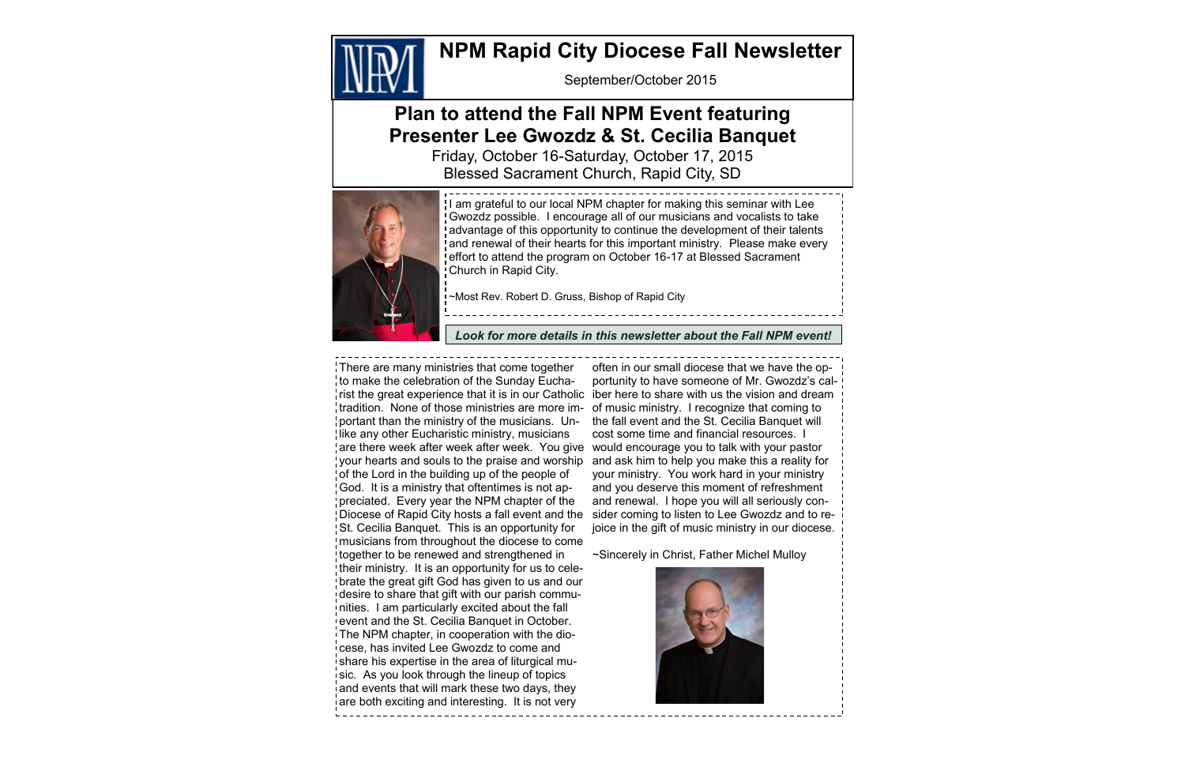September/October 2015

# **NPM Rapid City Diocese Fall Newsletter**



# **Plan to attend the Fall NPM Event featuring Presenter Lee Gwozdz & St. Cecilia Banquet**

Friday, October 16-Saturday, October 17, 2015 Blessed Sacrament Church, Rapid City, SD



There are many ministries that come together to make the celebration of the Sunday Euchatradition. None of those ministries are more im- of music ministry. I recognize that coming to portant than the ministry of the musicians. Unlike any other Eucharistic ministry, musicians are there week after week after week. You give would encourage you to talk with your pastor your hearts and souls to the praise and worship and ask him to help you make this a reality for of the Lord in the building up of the people of God. It is a ministry that oftentimes is not appreciated. Every year the NPM chapter of the Diocese of Rapid City hosts a fall event and the St. Cecilia Banquet. This is an opportunity for musicians from throughout the diocese to come together to be renewed and strengthened in their ministry. It is an opportunity for us to celebrate the great gift God has given to us and our desire to share that gift with our parish communities. I am particularly excited about the fall event and the St. Cecilia Banquet in October. The NPM chapter, in cooperation with the diocese, has invited Lee Gwozdz to come and share his expertise in the area of liturgical music. As you look through the lineup of topics and events that will mark these two days, they are both exciting and interesting. It is not very

rist the great experience that it is in our Catholic iber here to share with us the vision and dream often in our small diocese that we have the opportunity to have someone of Mr. Gwozdz's calthe fall event and the St. Cecilia Banquet will cost some time and financial resources. I your ministry. You work hard in your ministry and you deserve this moment of refreshment and renewal. I hope you will all seriously consider coming to listen to Lee Gwozdz and to rejoice in the gift of music ministry in our diocese.

I am grateful to our local NPM chapter for making this seminar with Lee Gwozdz possible. I encourage all of our musicians and vocalists to take advantage of this opportunity to continue the development of their talents and renewal of their hearts for this important ministry. Please make every effort to attend the program on October 16-17 at Blessed Sacrament Church in Rapid City.

~Sincerely in Christ, Father Michel Mulloy



~Most Rev. Robert D. Gruss, Bishop of Rapid City

*Look for more details in this newsletter about the Fall NPM event!*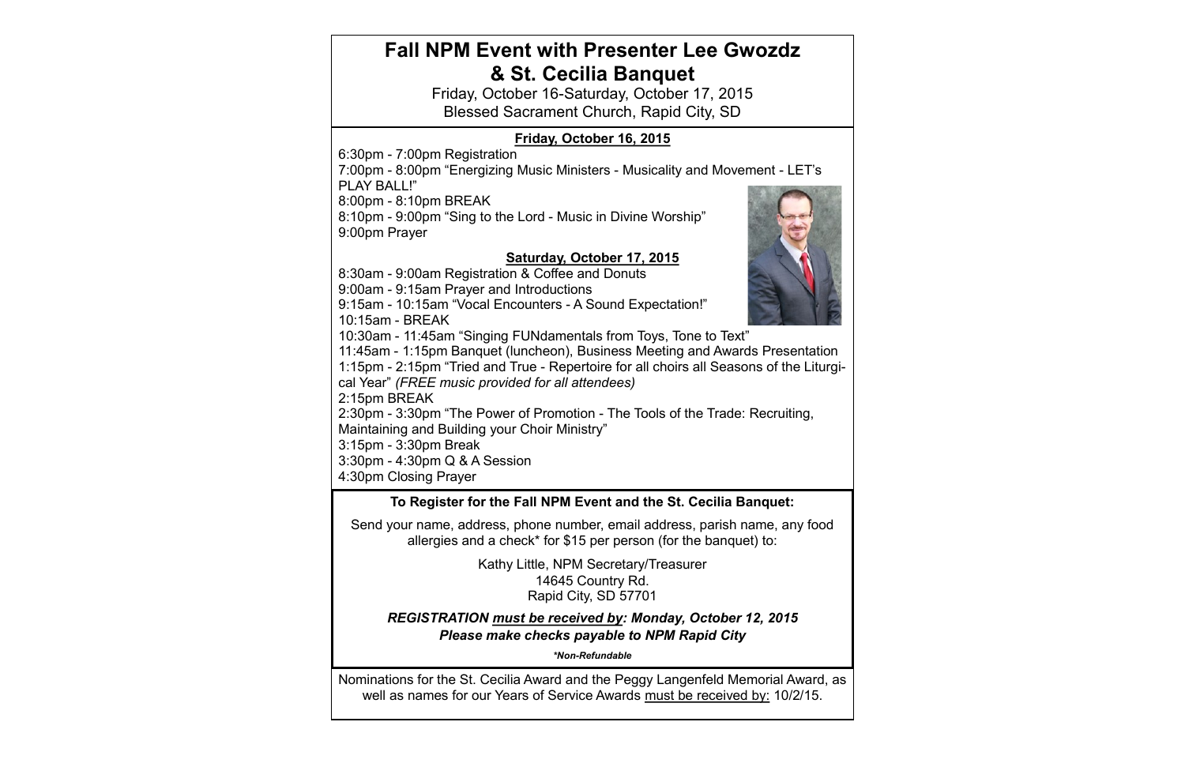### Nominations for the St. Cecilia Award and the Peggy Langenfeld Memorial Award, as well as names for our Years of Service Awards must be received by: 10/2/15. **To Register for the Fall NPM Event and the St. Cecilia Banquet:**  Send your name, address, phone number, email address, parish name, any food allergies and a check\* for \$15 per person (for the banquet) to: Kathy Little, NPM Secretary/Treasurer 14645 Country Rd. Rapid City, SD 57701 *REGISTRATION must be received by: Monday, October 12, 2015 Please make checks payable to NPM Rapid City \*Non-Refundable* **Fall NPM Event with Presenter Lee Gwozdz & St. Cecilia Banquet** Friday, October 16-Saturday, October 17, 2015 Blessed Sacrament Church, Rapid City, SD **Friday, October 16, 2015** 6:30pm - 7:00pm Registration 7:00pm - 8:00pm "Energizing Music Ministers - Musicality and Movement - LET's PLAY BALL!" 8:00pm - 8:10pm BREAK 8:10pm - 9:00pm "Sing to the Lord - Music in Divine Worship" 9:00pm Prayer **Saturday, October 17, 2015** 8:30am - 9:00am Registration & Coffee and Donuts 9:00am - 9:15am Prayer and Introductions 9:15am - 10:15am "Vocal Encounters - A Sound Expectation!" 10:15am - BREAK 10:30am - 11:45am "Singing FUNdamentals from Toys, Tone to Text" 11:45am - 1:15pm Banquet (luncheon), Business Meeting and Awards Presentation 1:15pm - 2:15pm "Tried and True - Repertoire for all choirs all Seasons of the Liturgical Year" *(FREE music provided for all attendees)* 2:15pm BREAK 2:30pm - 3:30pm "The Power of Promotion - The Tools of the Trade: Recruiting, Maintaining and Building your Choir Ministry" 3:15pm - 3:30pm Break 3:30pm - 4:30pm Q & A Session 4:30pm Closing Prayer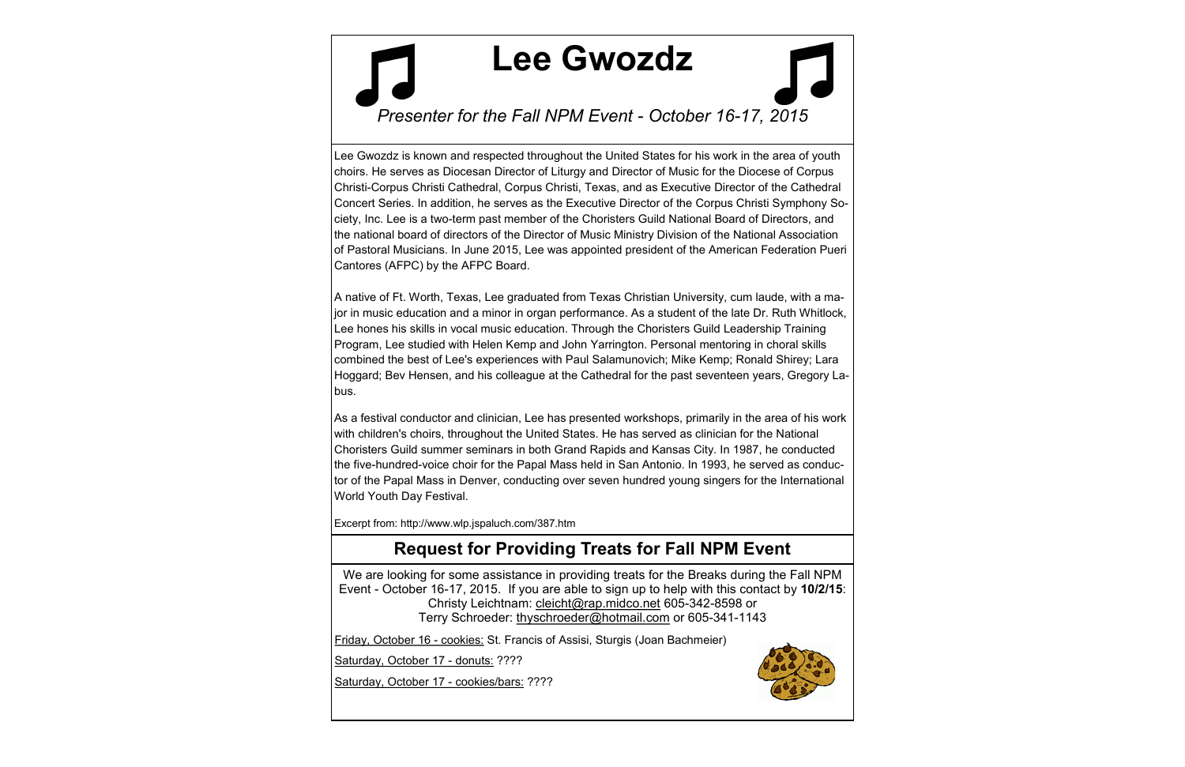# **Request for Providing Treats for Fall NPM Event**

Lee Gwozdz is known and respected throughout the United States for his work in the area of youth choirs. He serves as Diocesan Director of Liturgy and Director of Music for the Diocese of Corpus Christi-Corpus Christi Cathedral, Corpus Christi, Texas, and as Executive Director of the Cathedral Concert Series. In addition, he serves as the Executive Director of the Corpus Christi Symphony Society, Inc. Lee is a two-term past member of the Choristers Guild National Board of Directors, and the national board of directors of the Director of Music Ministry Division of the National Association of Pastoral Musicians. In June 2015, Lee was appointed president of the American Federation Pueri Cantores (AFPC) by the AFPC Board.

A native of Ft. Worth, Texas, Lee graduated from Texas Christian University, cum laude, with a major in music education and a minor in organ performance. As a student of the late Dr. Ruth Whitlock, Lee hones his skills in vocal music education. Through the Choristers Guild Leadership Training Program, Lee studied with Helen Kemp and John Yarrington. Personal mentoring in choral skills combined the best of Lee's experiences with Paul Salamunovich; Mike Kemp; Ronald Shirey; Lara Hoggard; Bev Hensen, and his colleague at the Cathedral for the past seventeen years, Gregory Labus.

As a festival conductor and clinician, Lee has presented workshops, primarily in the area of his work with children's choirs, throughout the United States. He has served as clinician for the National Choristers Guild summer seminars in both Grand Rapids and Kansas City. In 1987, he conducted the five-hundred-voice choir for the Papal Mass held in San Antonio. In 1993, he served as conductor of the Papal Mass in Denver, conducting over seven hundred young singers for the International World Youth Day Festival.

Excerpt from: http://www.wlp.jspaluch.com/387.htm

# **Lee Gwozdz**



*Presenter for the Fall NPM Event - October 16-17, 2015*

We are looking for some assistance in providing treats for the Breaks during the Fall NPM Event - October 16-17, 2015. If you are able to sign up to help with this contact by **10/2/15**: Christy Leichtnam: [cleicht@rap.midco.net](mailto:cleicht@rap.midco.net) 605-342-8598 or Terry Schroeder: [thyschroeder@hotmail.com](mailto:thyschroeder@hotmail.com) or 605-341-1143

Friday, October 16 - cookies: St. Francis of Assisi, Sturgis (Joan Bachmeier)

Saturday, October 17 - donuts: ????

Saturday, October 17 - cookies/bars: ????

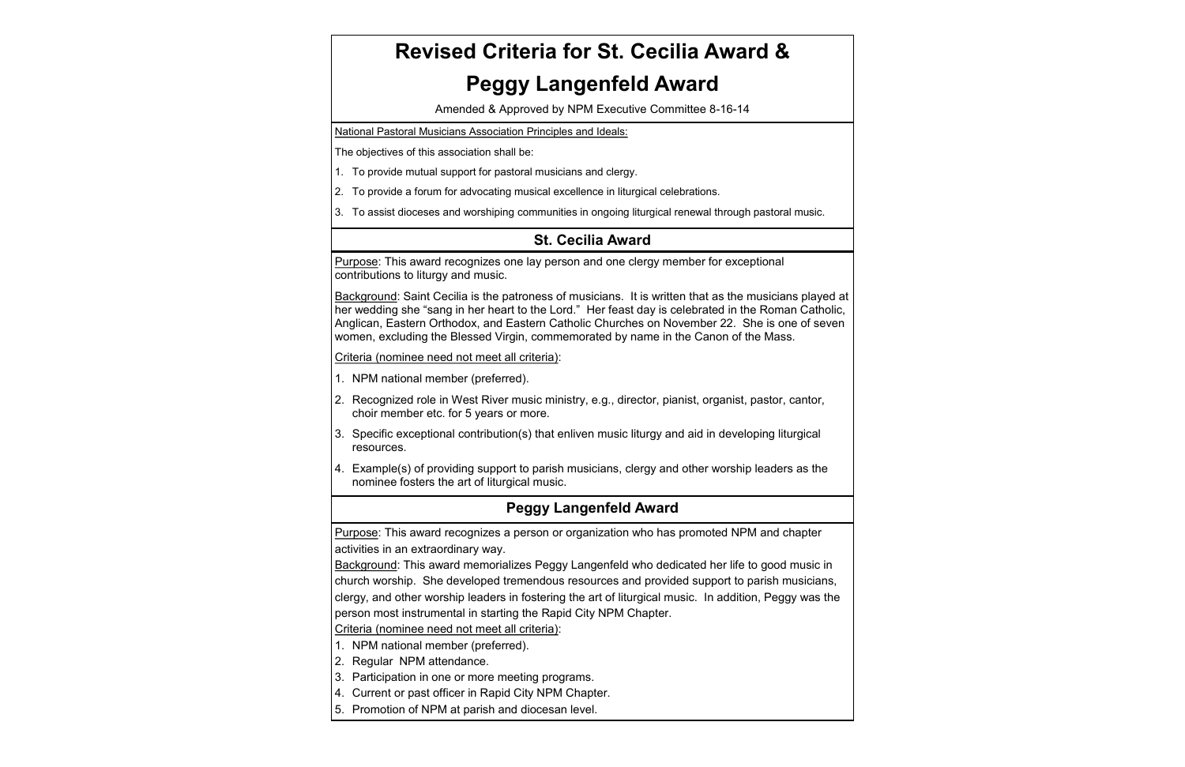### **Peggy Langenfeld Award**

Purpose: This award recognizes a person or organization who has promoted NPM and chapter activities in an extraordinary way.

Background: This award memorializes Peggy Langenfeld who dedicated her life to good music in church worship. She developed tremendous resources and provided support to parish musicians, clergy, and other worship leaders in fostering the art of liturgical music. In addition, Peggy was the person most instrumental in starting the Rapid City NPM Chapter.

Criteria (nominee need not meet all criteria):

Background: Saint Cecilia is the patroness of musicians. It is written that as the musicians played at her wedding she "sang in her heart to the Lord." Her feast day is celebrated in the Roman Catholic, Anglican, Eastern Orthodox, and Eastern Catholic Churches on November 22. She is one of seven women, excluding the Blessed Virgin, commemorated by name in the Canon of the Mass.

- 1. NPM national member (preferred).
- 2. Regular NPM attendance.
- 3. Participation in one or more meeting programs.
- 4. Current or past officer in Rapid City NPM Chapter.
- 5. Promotion of NPM at parish and diocesan level.

#### **St. Cecilia Award**

Purpose: This award recognizes one lay person and one clergy member for exceptional contributions to liturgy and music.

Criteria (nominee need not meet all criteria):

- 1. NPM national member (preferred).
- 2. Recognized role in West River music ministry, e.g., director, pianist, organist, pastor, cantor, choir member etc. for 5 years or more.
- 3. Specific exceptional contribution(s) that enliven music liturgy and aid in developing liturgical resources.
- 4. Example(s) of providing support to parish musicians, clergy and other worship leaders as the nominee fosters the art of liturgical music.

# **Revised Criteria for St. Cecilia Award &**

# **Peggy Langenfeld Award**

Amended & Approved by NPM Executive Committee 8-16-14

National Pastoral Musicians Association Principles and Ideals:

The objectives of this association shall be:

- 1. To provide mutual support for pastoral musicians and clergy.
- 2. To provide a forum for advocating musical excellence in liturgical celebrations.
- 3. To assist dioceses and worshiping communities in ongoing liturgical renewal through pastoral music.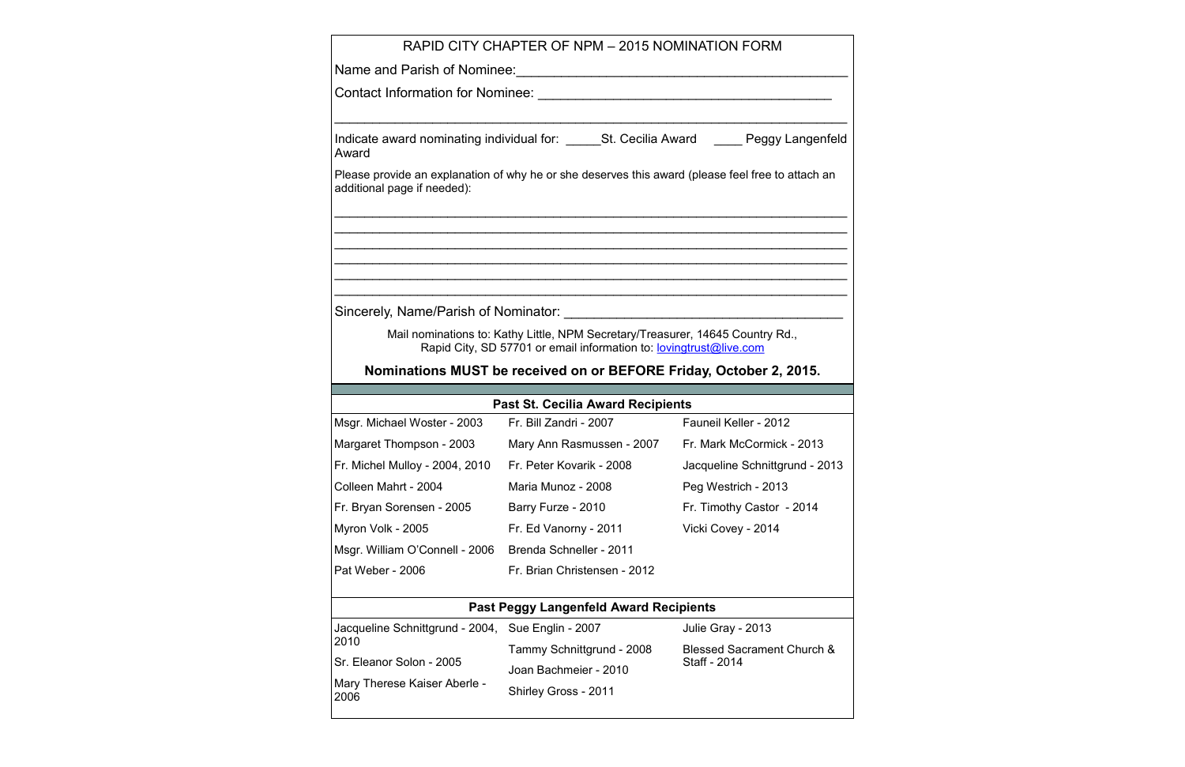|                                                           | RAPID CITY CHAPTER OF NPM - 2015 NOMINATION FORM                                                                                                            |                                                                                                                     |  |
|-----------------------------------------------------------|-------------------------------------------------------------------------------------------------------------------------------------------------------------|---------------------------------------------------------------------------------------------------------------------|--|
|                                                           |                                                                                                                                                             |                                                                                                                     |  |
|                                                           |                                                                                                                                                             |                                                                                                                     |  |
| Award                                                     |                                                                                                                                                             | Indicate award nominating individual for: _______St. Cecilia Award _______ Peggy Langenfeld                         |  |
| additional page if needed):                               | Please provide an explanation of why he or she deserves this award (please feel free to attach an                                                           |                                                                                                                     |  |
|                                                           |                                                                                                                                                             | <u> 1989 - Johann John Stoff, deutscher Stoffen und der Stoffen und der Stoffen und der Stoffen und der Stoffen</u> |  |
|                                                           |                                                                                                                                                             |                                                                                                                     |  |
|                                                           | Mail nominations to: Kathy Little, NPM Secretary/Treasurer, 14645 Country Rd.,<br>Rapid City, SD 57701 or email information to: <b>lovingtrust@live.com</b> |                                                                                                                     |  |
|                                                           | Nominations MUST be received on or BEFORE Friday, October 2, 2015.                                                                                          |                                                                                                                     |  |
|                                                           | <b>Past St. Cecilia Award Recipients</b>                                                                                                                    |                                                                                                                     |  |
|                                                           | Msgr. Michael Woster - 2003 Fr. Bill Zandri - 2007 Fauneil Keller - 2012                                                                                    |                                                                                                                     |  |
|                                                           | Margaret Thompson - 2003 Mary Ann Rasmussen - 2007 Fr. Mark McCormick - 2013                                                                                |                                                                                                                     |  |
| Fr. Michel Mulloy - 2004, 2010 Fr. Peter Kovarik - 2008   |                                                                                                                                                             | Jacqueline Schnittgrund - 2013                                                                                      |  |
| Colleen Mahrt - 2004                                      | Maria Munoz - 2008                                                                                                                                          | Peg Westrich - 2013                                                                                                 |  |
| Fr. Bryan Sorensen - 2005                                 | Barry Furze - 2010                                                                                                                                          | Fr. Timothy Castor - 2014                                                                                           |  |
| Myron Volk - 2005                                         | Fr. Ed Vanorny - 2011                                                                                                                                       | Vicki Covey - 2014                                                                                                  |  |
| Msgr. William O'Connell - 2006                            | Brenda Schneller - 2011                                                                                                                                     |                                                                                                                     |  |
| Pat Weber - 2006                                          | Fr. Brian Christensen - 2012                                                                                                                                |                                                                                                                     |  |
|                                                           | <b>Past Peggy Langenfeld Award Recipients</b>                                                                                                               |                                                                                                                     |  |
| Jacqueline Schnittgrund - 2004, Sue Englin - 2007<br>2010 |                                                                                                                                                             | Julie Gray - 2013                                                                                                   |  |
|                                                           | Tammy Schnittgrund - 2008                                                                                                                                   | <b>Blessed Sacrament Church &amp;</b>                                                                               |  |
| Sr. Eleanor Solon - 2005                                  | Joan Bachmeier - 2010                                                                                                                                       | Staff - 2014                                                                                                        |  |
| Mary Therese Kaiser Aberle -<br>2006                      | Shirley Gross - 2011                                                                                                                                        |                                                                                                                     |  |
|                                                           |                                                                                                                                                             |                                                                                                                     |  |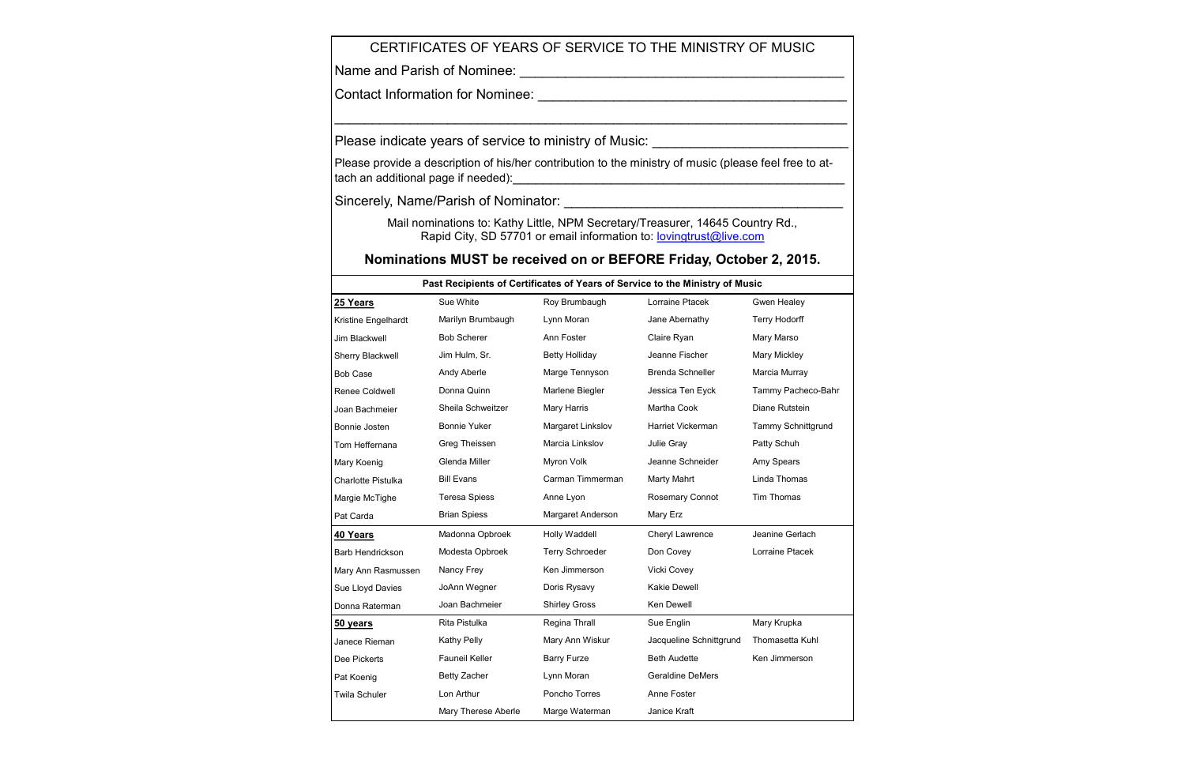Please provide a description of his/her contribution to the ministry of music (please feel free to attach an additional page if needed):\_\_\_\_\_\_\_\_\_\_\_\_\_\_\_\_\_\_\_\_\_\_\_\_\_\_\_\_\_\_\_\_\_\_\_\_\_\_\_\_\_\_\_\_

> Mail nominations to: Kathy Little, NPM Secretary/Treasurer, 14645 Country Rd., Rapid City, SD 57701 or email information to: **[lovingtrust@live.com](mailto:lovingtrust@live.com)**

#### CERTIFICATES OF YEARS OF SERVICE TO THE MINISTRY OF MUSIC

 $\_$ 

Name and Parish of Nominee: \_\_\_\_\_\_\_\_\_\_\_\_\_\_\_\_\_\_\_\_\_\_\_\_\_\_\_\_\_\_\_\_\_\_\_\_\_\_\_\_\_\_\_

Contact Information for Nominee: \_\_\_\_\_\_\_\_\_\_\_\_\_\_\_\_\_\_\_\_\_\_\_\_\_\_\_\_\_\_\_\_\_\_\_\_\_\_\_\_\_

Please indicate years of service to ministry of Music: \_\_\_\_\_\_\_\_\_\_\_\_\_\_\_\_\_\_\_\_\_\_\_\_\_

| Past Recipients of Certificates of Years of Service to the Ministry of Music |                      |                       |                         |                    |  |  |
|------------------------------------------------------------------------------|----------------------|-----------------------|-------------------------|--------------------|--|--|
| 25 Years                                                                     | Sue White            | Roy Brumbaugh         | Lorraine Ptacek         | Gwen Healey        |  |  |
| Kristine Engelhardt                                                          | Marilyn Brumbaugh    | Lynn Moran            | Jane Abernathy          | Terry Hodorff      |  |  |
| Jim Blackwell                                                                | <b>Bob Scherer</b>   | Ann Foster            | Claire Ryan             | Mary Marso         |  |  |
| Sherry Blackwell                                                             | Jim Hulm, Sr.        | <b>Betty Holliday</b> | Jeanne Fischer          | Mary Mickley       |  |  |
| <b>Bob Case</b>                                                              | Andy Aberle          | Marge Tennyson        | Brenda Schneller        | Marcia Murray      |  |  |
| Renee Coldwell                                                               | Donna Quinn          | Marlene Biegler       | Jessica Ten Eyck        | Tammy Pacheco-Bahr |  |  |
| Joan Bachmeier                                                               | Sheila Schweitzer    | Mary Harris           | Martha Cook             | Diane Rutstein     |  |  |
| Bonnie Josten                                                                | <b>Bonnie Yuker</b>  | Margaret Linkslov     | Harriet Vickerman       | Tammy Schnittgrund |  |  |
| Tom Heffernana                                                               | Greg Theissen        | Marcia Linkslov       | Julie Gray              | Patty Schuh        |  |  |
| Mary Koenig                                                                  | Glenda Miller        | Myron Volk            | Jeanne Schneider        | Amy Spears         |  |  |
| <b>Charlotte Pistulka</b>                                                    | <b>Bill Evans</b>    | Carman Timmerman      | Marty Mahrt             | Linda Thomas       |  |  |
| Margie McTighe                                                               | <b>Teresa Spiess</b> | Anne Lyon             | Rosemary Connot         | Tim Thomas         |  |  |
| Pat Carda                                                                    | <b>Brian Spiess</b>  | Margaret Anderson     | Mary Erz                |                    |  |  |
| 40 Years                                                                     | Madonna Opbroek      | Holly Waddell         | Cheryl Lawrence         | Jeanine Gerlach    |  |  |
| Barb Hendrickson                                                             | Modesta Opbroek      | Terry Schroeder       | Don Covey               | Lorraine Ptacek    |  |  |
| Mary Ann Rasmussen                                                           | Nancy Frey           | Ken Jimmerson         | Vicki Covey             |                    |  |  |
| Sue Lloyd Davies                                                             | JoAnn Wegner         | Doris Rysavy          | <b>Kakie Dewell</b>     |                    |  |  |
| Donna Raterman                                                               | Joan Bachmeier       | <b>Shirley Gross</b>  | Ken Dewell              |                    |  |  |
| 50 years                                                                     | Rita Pistulka        | Regina Thrall         | Sue Englin              | Mary Krupka        |  |  |
| Janece Rieman                                                                | Kathy Pelly          | Mary Ann Wiskur       | Jacqueline Schnittgrund | Thomasetta Kuhl    |  |  |
| Dee Pickerts                                                                 | Fauneil Keller       | <b>Barry Furze</b>    | <b>Beth Audette</b>     | Ken Jimmerson      |  |  |
| Pat Koenig                                                                   | <b>Betty Zacher</b>  | Lynn Moran            | <b>Geraldine DeMers</b> |                    |  |  |
| <b>Twila Schuler</b>                                                         | Lon Arthur           | Poncho Torres         | Anne Foster             |                    |  |  |
|                                                                              | Mary Therese Aberle  | Marge Waterman        | Janice Kraft            |                    |  |  |

Sincerely, Name/Parish of Nominator: \_\_\_\_\_\_\_\_\_\_\_\_\_\_\_\_\_\_\_\_\_\_\_\_\_\_\_\_\_\_\_\_\_\_\_\_\_

#### **Nominations MUST be received on or BEFORE Friday, October 2, 2015.**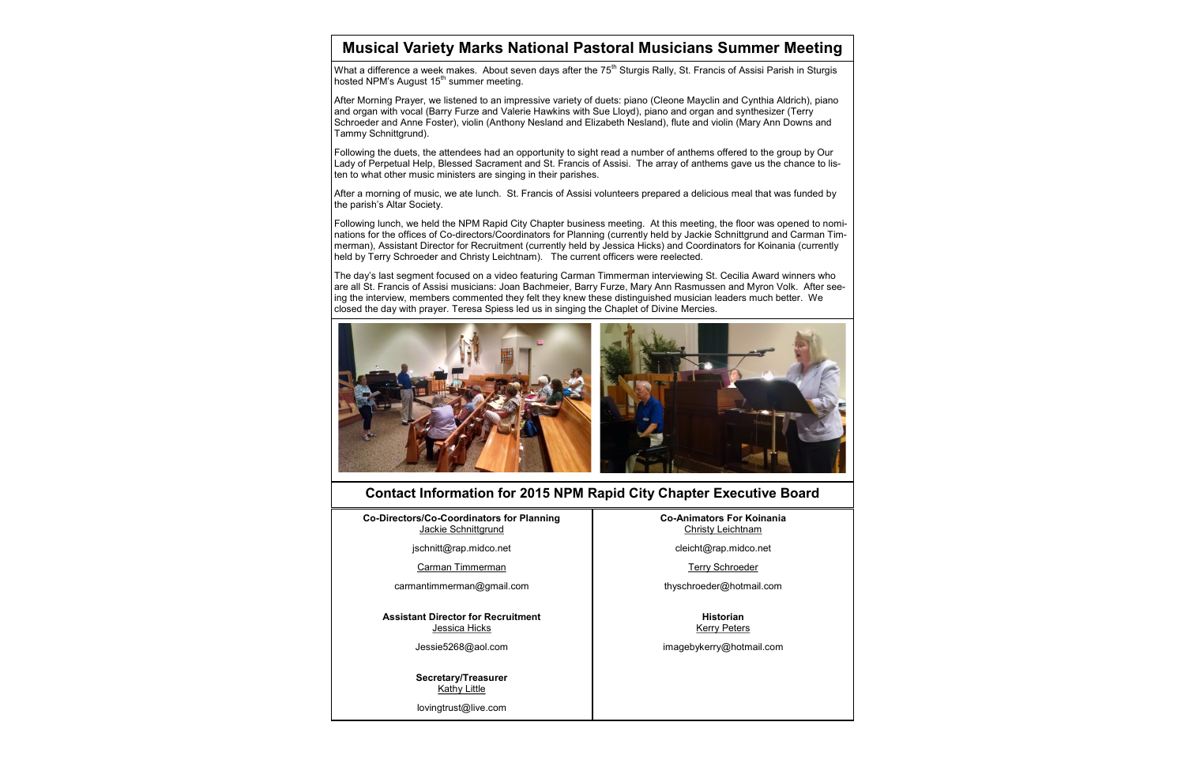After Morning Prayer, we listened to an impressive variety of duets: piano (Cleone Mayclin and Cynthia Aldrich), piano and organ with vocal (Barry Furze and Valerie Hawkins with Sue Lloyd), piano and organ and synthesizer (Terry Schroeder and Anne Foster), violin (Anthony Nesland and Elizabeth Nesland), flute and violin (Mary Ann Downs and Tammy Schnittgrund).

Following the duets, the attendees had an opportunity to sight read a number of anthems offered to the group by Our Lady of Perpetual Help, Blessed Sacrament and St. Francis of Assisi. The array of anthems gave us the chance to listen to what other music ministers are singing in their parishes.

After a morning of music, we ate lunch. St. Francis of Assisi volunteers prepared a delicious meal that was funded by the parish's Altar Society.

> **Secretary/Treasurer Kathy Little**

Following lunch, we held the NPM Rapid City Chapter business meeting. At this meeting, the floor was opened to nominations for the offices of Co-directors/Coordinators for Planning (currently held by Jackie Schnittgrund and Carman Timmerman), Assistant Director for Recruitment (currently held by Jessica Hicks) and Coordinators for Koinania (currently held by Terry Schroeder and Christy Leichtnam). The current officers were reelected.

The day's last segment focused on a video featuring Carman Timmerman interviewing St. Cecilia Award winners who are all St. Francis of Assisi musicians: Joan Bachmeier, Barry Furze, Mary Ann Rasmussen and Myron Volk. After seeing the interview, members commented they felt they knew these distinguished musician leaders much better. We closed the day with prayer. Teresa Spiess led us in singing the Chaplet of Divine Mercies.



#### **Musical Variety Marks National Pastoral Musicians Summer Meeting**

What a difference a week makes. About seven days after the  $75<sup>th</sup>$  Sturgis Rally, St. Francis of Assisi Parish in Sturgis hosted NPM's August 15<sup>th</sup> summer meeting.

#### **Contact Information for 2015 NPM Rapid City Chapter Executive Board**

**Co-Directors/Co-Coordinators for Planning** Jackie Schnittgrund

[jschnitt@rap.midco.net](mailto:lovingtrust@live.com)

Carman Timmerman

[carmantimmerman@gmail.com](mailto:carmantimmerman@gmail.com)

**Assistant Director for Recruitment** Jessica Hicks

[Jessie5268@aol.com](mailto:lovingtrust@live.com)

[lovingtrust@live.com](mailto:lovingtrust@live.com)

**Co-Animators For Koinania** Christy Leichtnam

[cleicht@rap.midco.net](mailto:cleicht@rap.midco.net)

Terry Schroeder

[thyschroeder@hotmail.com](mailto:thyschroeder@hotmail.com)

**Historian** Kerry Peters

imagebykerry@hotmail.com